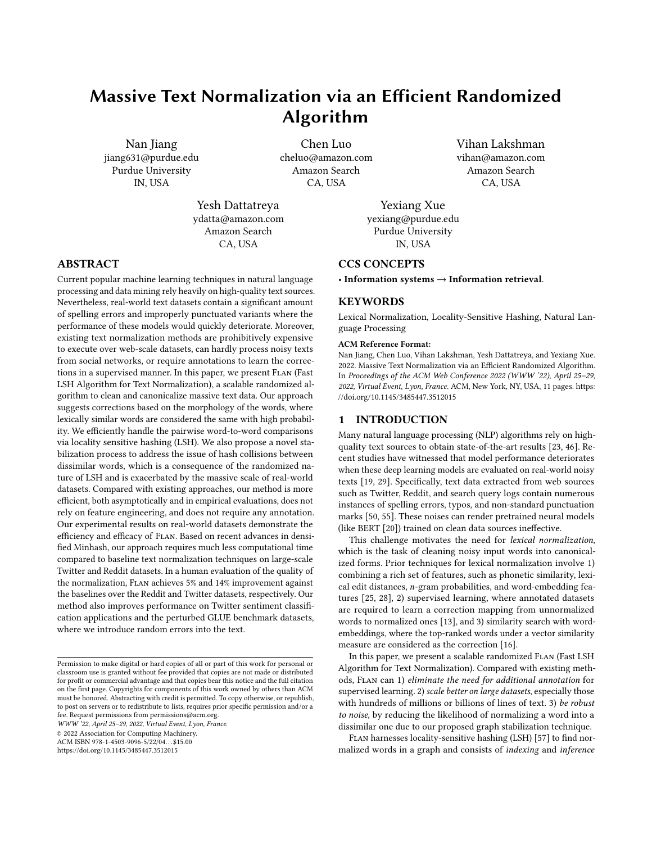# Massive Text Normalization via an Efficient Randomized Algorithm

[Nan Jiang](https://orcid.org/0000-0001-6863-2897) jiang631@purdue.edu Purdue University IN, USA

Chen Luo cheluo@amazon.com Amazon Search CA, USA

Yesh Dattatreya ydatta@amazon.com Amazon Search CA, USA

ABSTRACT

Current popular machine learning techniques in natural language processing and data mining rely heavily on high-quality text sources. Nevertheless, real-world text datasets contain a significant amount of spelling errors and improperly punctuated variants where the performance of these models would quickly deteriorate. Moreover, existing text normalization methods are prohibitively expensive to execute over web-scale datasets, can hardly process noisy texts from social networks, or require annotations to learn the corrections in a supervised manner. In this paper, we present Flan (Fast LSH Algorithm for Text Normalization), a scalable randomized algorithm to clean and canonicalize massive text data. Our approach suggests corrections based on the morphology of the words, where lexically similar words are considered the same with high probability. We efficiently handle the pairwise word-to-word comparisons via locality sensitive hashing (LSH). We also propose a novel stabilization process to address the issue of hash collisions between dissimilar words, which is a consequence of the randomized nature of LSH and is exacerbated by the massive scale of real-world datasets. Compared with existing approaches, our method is more efficient, both asymptotically and in empirical evaluations, does not rely on feature engineering, and does not require any annotation. Our experimental results on real-world datasets demonstrate the efficiency and efficacy of Flan. Based on recent advances in densified Minhash, our approach requires much less computational time compared to baseline text normalization techniques on large-scale Twitter and Reddit datasets. In a human evaluation of the quality of the normalization, Flan achieves 5% and 14% improvement against the baselines over the Reddit and Twitter datasets, respectively. Our method also improves performance on Twitter sentiment classification applications and the perturbed GLUE benchmark datasets, where we introduce random errors into the text.

WWW '22, April 25–29, 2022, Virtual Event, Lyon, France.

© 2022 Association for Computing Machinery.

ACM ISBN 978-1-4503-9096-5/22/04. . . \$15.00

<https://doi.org/10.1145/3485447.3512015>

Vihan Lakshman vihan@amazon.com Amazon Search CA, USA

[Yexiang Xue](https://orcid.org/0000-0002-4533-0543) yexiang@purdue.edu Purdue University IN, USA

# CCS CONCEPTS

• Information systems → Information retrieval.

# **KEYWORDS**

Lexical Normalization, Locality-Sensitive Hashing, Natural Language Processing

#### ACM Reference Format:

Nan Jiang, Chen Luo, Vihan Lakshman, Yesh Dattatreya, and Yexiang Xue. 2022. Massive Text Normalization via an Efficient Randomized Algorithm. In Proceedings of the ACM Web Conference 2022 (WWW '22), April 25–29, 2022, Virtual Event, Lyon, France. ACM, New York, NY, USA, [11](#page-10-0) pages. [https:](https://doi.org/10.1145/3485447.3512015) [//doi.org/10.1145/3485447.3512015](https://doi.org/10.1145/3485447.3512015)

# 1 INTRODUCTION

Many natural language processing (NLP) algorithms rely on highquality text sources to obtain state-of-the-art results [\[23,](#page-8-0) [46\]](#page-8-1). Recent studies have witnessed that model performance deteriorates when these deep learning models are evaluated on real-world noisy texts [\[19,](#page-8-2) [29\]](#page-8-3). Specifically, text data extracted from web sources such as Twitter, Reddit, and search query logs contain numerous instances of spelling errors, typos, and non-standard punctuation marks [\[50,](#page-8-4) [55\]](#page-8-5). These noises can render pretrained neural models (like BERT [\[20\]](#page-8-6)) trained on clean data sources ineffective.

This challenge motivates the need for lexical normalization, which is the task of cleaning noisy input words into canonicalized forms. Prior techniques for lexical normalization involve 1) combining a rich set of features, such as phonetic similarity, lexical edit distances,  $n$ -gram probabilities, and word-embedding features [\[25,](#page-8-7) [28\]](#page-8-8), 2) supervised learning, where annotated datasets are required to learn a correction mapping from unnormalized words to normalized ones [\[13\]](#page-8-9), and 3) similarity search with wordembeddings, where the top-ranked words under a vector similarity measure are considered as the correction [\[16\]](#page-8-10).

In this paper, we present a scalable randomized FLAN (Fast LSH Algorithm for Text Normalization). Compared with existing methods, Flan can 1) eliminate the need for additional annotation for supervised learning. 2) scale better on large datasets, especially those with hundreds of millions or billions of lines of text. 3) be robust to noise, by reducing the likelihood of normalizing a word into a dissimilar one due to our proposed graph stabilization technique.

Flan harnesses locality-sensitive hashing (LSH) [\[57\]](#page-8-11) to find normalized words in a graph and consists of indexing and inference

Permission to make digital or hard copies of all or part of this work for personal or classroom use is granted without fee provided that copies are not made or distributed for profit or commercial advantage and that copies bear this notice and the full citation on the first page. Copyrights for components of this work owned by others than ACM must be honored. Abstracting with credit is permitted. To copy otherwise, or republish, to post on servers or to redistribute to lists, requires prior specific permission and/or a fee. Request permissions from permissions@acm.org.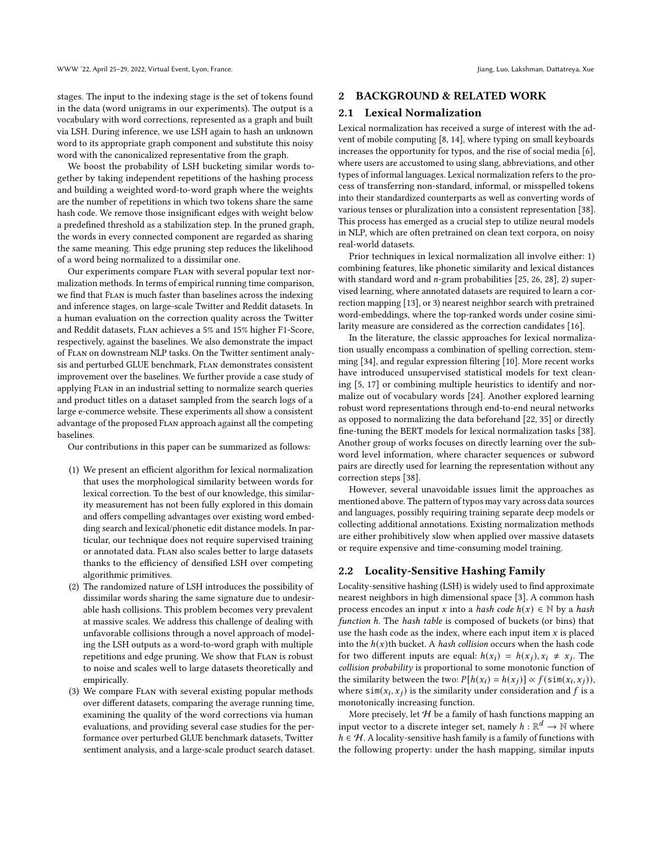stages. The input to the indexing stage is the set of tokens found in the data (word unigrams in our experiments). The output is a vocabulary with word corrections, represented as a graph and built via LSH. During inference, we use LSH again to hash an unknown word to its appropriate graph component and substitute this noisy word with the canonicalized representative from the graph.

We boost the probability of LSH bucketing similar words together by taking independent repetitions of the hashing process and building a weighted word-to-word graph where the weights are the number of repetitions in which two tokens share the same hash code. We remove those insignificant edges with weight below a predefined threshold as a stabilization step. In the pruned graph, the words in every connected component are regarded as sharing the same meaning. This edge pruning step reduces the likelihood of a word being normalized to a dissimilar one.

Our experiments compare Flan with several popular text normalization methods. In terms of empirical running time comparison, we find that Flan is much faster than baselines across the indexing and inference stages, on large-scale Twitter and Reddit datasets. In a human evaluation on the correction quality across the Twitter and Reddit datasets, Flan achieves a 5% and 15% higher F1-Score, respectively, against the baselines. We also demonstrate the impact of Flan on downstream NLP tasks. On the Twitter sentiment analysis and perturbed GLUE benchmark, Flan demonstrates consistent improvement over the baselines. We further provide a case study of applying Flan in an industrial setting to normalize search queries and product titles on a dataset sampled from the search logs of a large e-commerce website. These experiments all show a consistent advantage of the proposed Flan approach against all the competing baselines.

Our contributions in this paper can be summarized as follows:

- (1) We present an efficient algorithm for lexical normalization that uses the morphological similarity between words for lexical correction. To the best of our knowledge, this similarity measurement has not been fully explored in this domain and offers compelling advantages over existing word embedding search and lexical/phonetic edit distance models. In particular, our technique does not require supervised training or annotated data. Flan also scales better to large datasets thanks to the efficiency of densified LSH over competing algorithmic primitives.
- (2) The randomized nature of LSH introduces the possibility of dissimilar words sharing the same signature due to undesirable hash collisions. This problem becomes very prevalent at massive scales. We address this challenge of dealing with unfavorable collisions through a novel approach of modeling the LSH outputs as a word-to-word graph with multiple repetitions and edge pruning. We show that Flan is robust to noise and scales well to large datasets theoretically and empirically.
- (3) We compare Flan with several existing popular methods over different datasets, comparing the average running time, examining the quality of the word corrections via human evaluations, and providing several case studies for the performance over perturbed GLUE benchmark datasets, Twitter sentiment analysis, and a large-scale product search dataset.

#### 2 BACKGROUND & RELATED WORK

#### 2.1 Lexical Normalization

Lexical normalization has received a surge of interest with the advent of mobile computing [\[8,](#page-8-12) [14\]](#page-8-13), where typing on small keyboards increases the opportunity for typos, and the rise of social media [\[6\]](#page-8-14), where users are accustomed to using slang, abbreviations, and other types of informal languages. Lexical normalization refers to the process of transferring non-standard, informal, or misspelled tokens into their standardized counterparts as well as converting words of various tenses or pluralization into a consistent representation [\[38\]](#page-8-15). This process has emerged as a crucial step to utilize neural models in NLP, which are often pretrained on clean text corpora, on noisy real-world datasets.

Prior techniques in lexical normalization all involve either: 1) combining features, like phonetic similarity and lexical distances with standard word and  $n$ -gram probabilities [\[25,](#page-8-7) [26,](#page-8-16) [28\]](#page-8-8), 2) supervised learning, where annotated datasets are required to learn a correction mapping [\[13\]](#page-8-9), or 3) nearest neighbor search with pretrained word-embeddings, where the top-ranked words under cosine similarity measure are considered as the correction candidates [\[16\]](#page-8-10).

In the literature, the classic approaches for lexical normalization usually encompass a combination of spelling correction, stemming [\[34\]](#page-8-17), and regular expression filtering [\[10\]](#page-8-18). More recent works have introduced unsupervised statistical models for text cleaning [\[5,](#page-8-19) [17\]](#page-8-20) or combining multiple heuristics to identify and normalize out of vocabulary words [\[24\]](#page-8-21). Another explored learning robust word representations through end-to-end neural networks as opposed to normalizing the data beforehand [\[22,](#page-8-22) [35\]](#page-8-23) or directly fine-tuning the BERT models for lexical normalization tasks [\[38\]](#page-8-15). Another group of works focuses on directly learning over the subword level information, where character sequences or subword pairs are directly used for learning the representation without any correction steps [\[38\]](#page-8-15).

However, several unavoidable issues limit the approaches as mentioned above. The pattern of typos may vary across data sources and languages, possibly requiring training separate deep models or collecting additional annotations. Existing normalization methods are either prohibitively slow when applied over massive datasets or require expensive and time-consuming model training.

## <span id="page-1-0"></span>2.2 Locality-Sensitive Hashing Family

Locality-sensitive hashing (LSH) is widely used to find approximate nearest neighbors in high dimensional space [\[3\]](#page-8-24). A common hash process encodes an input x into a hash code  $h(x) \in \mathbb{N}$  by a hash function h. The hash table is composed of buckets (or bins) that use the hash code as the index, where each input item  $x$  is placed into the  $h(x)$ th bucket. A hash collision occurs when the hash code for two different inputs are equal:  $h(x_i) = h(x_j), x_i \neq x_j$ . The collision probability is proportional to some monotonic function of the similarity between the two:  $P[h(x_i) = h(x_j)] \propto f(\sin(x_i, x_j)),$ where  $\sin(x_i, x_j)$  is the similarity under consideration and f is a monotonically increasing function.

More precisely, let  ${\mathcal H}$  be a family of hash functions mapping an input vector to a discrete integer set, namely  $h : \mathbb{R}^d \to \mathbb{N}$  where  $h \in H$ . A locality-sensitive hash family is a family of functions with the following property: under the hash mapping, similar inputs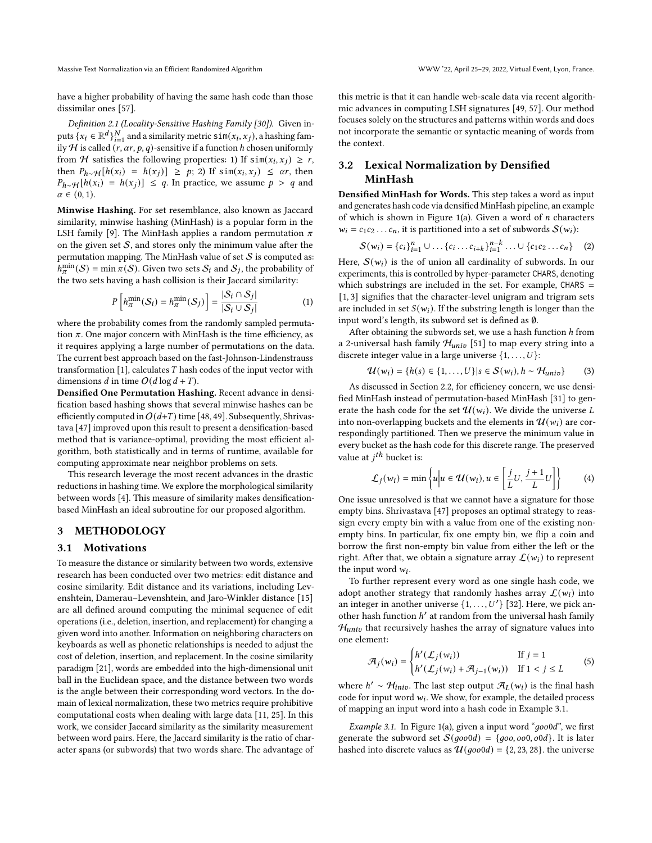Massive Text Normalization via an Efficient Randomized Algorithm WWW '22, April 25–29, 2022, Virtual Event, Lyon, France.

have a higher probability of having the same hash code than those dissimilar ones [\[57\]](#page-8-11).

<span id="page-2-2"></span>Definition 2.1 (Locality-Sensitive Hashing Family [\[30\]](#page-8-25)). Given inputs  $\{x_i \in \mathbb{R}^d\}_{i=1}^N$  and a similarity metric  $\sin(x_i, x_j)$ , a hashing family H is called  $(r, \alpha r, p, q)$ -sensitive if a function h chosen uniformly from H satisfies the following properties: 1) If  $\sin(x_i, x_j) \ge r$ , then  $P_{h\sim H}[h(x_i) = h(x_j)] \ge p$ ; 2) If sim $(x_i, x_j) \le \alpha r$ , then  $P_{h∼}$ H[ $h(x_i) = h(x_j)$ ] ≤ q. In practice, we assume  $p > q$  and  $\alpha \in (0, 1)$ .

Minwise Hashing. For set resemblance, also known as Jaccard similarity, minwise hashing (MinHash) is a popular form in the LSH family [\[9\]](#page-8-26). The MinHash applies a random permutation  $\pi$ on the given set  $S$ , and stores only the minimum value after the permutation mapping. The MinHash value of set  $S$  is computed as:  $h_{\pi}^{min}(\mathcal{S}) = \min \pi(\mathcal{S})$ . Given two sets  $\mathcal{S}_i$  and  $\mathcal{S}_j$ , the probability of the two sets having a hash collision is their Jaccard similarity:

$$
P\left[h_{\pi}^{\min}(\mathcal{S}_{i})=h_{\pi}^{\min}(\mathcal{S}_{j})\right]=\frac{|\mathcal{S}_{i}\cap\mathcal{S}_{j}|}{|\mathcal{S}_{i}\cup\mathcal{S}_{j}|}\tag{1}
$$

where the probability comes from the randomly sampled permutation  $\pi$ . One major concern with MinHash is the time efficiency, as it requires applying a large number of permutations on the data. The current best approach based on the fast-Johnson-Lindenstrauss transformation [\[1\]](#page-8-27), calculates  $T$  hash codes of the input vector with dimensions *d* in time  $O(d \log d + T)$ .

Densified One Permutation Hashing. Recent advance in densification based hashing shows that several minwise hashes can be efficiently computed in  $O(d+T)$  time [\[48,](#page-8-28) [49\]](#page-8-29). Subsequently, Shrivastava [\[47\]](#page-8-30) improved upon this result to present a densification-based method that is variance-optimal, providing the most efficient algorithm, both statistically and in terms of runtime, available for computing approximate near neighbor problems on sets.

This research leverage the most recent advances in the drastic reductions in hashing time. We explore the morphological similarity between words [\[4\]](#page-8-31). This measure of similarity makes densificationbased MinHash an ideal subroutine for our proposed algorithm.

#### 3 METHODOLOGY

## 3.1 Motivations

To measure the distance or similarity between two words, extensive research has been conducted over two metrics: edit distance and cosine similarity. Edit distance and its variations, including Levenshtein, Damerau–Levenshtein, and Jaro-Winkler distance [\[15\]](#page-8-32) are all defined around computing the minimal sequence of edit operations (i.e., deletion, insertion, and replacement) for changing a given word into another. Information on neighboring characters on keyboards as well as phonetic relationships is needed to adjust the cost of deletion, insertion, and replacement. In the cosine similarity paradigm [\[21\]](#page-8-33), words are embedded into the high-dimensional unit ball in the Euclidean space, and the distance between two words is the angle between their corresponding word vectors. In the domain of lexical normalization, these two metrics require prohibitive computational costs when dealing with large data [\[11,](#page-8-34) [25\]](#page-8-7). In this work, we consider Jaccard similarity as the similarity measurement between word pairs. Here, the Jaccard similarity is the ratio of character spans (or subwords) that two words share. The advantage of

this metric is that it can handle web-scale data via recent algorithmic advances in computing LSH signatures [\[49,](#page-8-29) [57\]](#page-8-11). Our method focuses solely on the structures and patterns within words and does not incorporate the semantic or syntactic meaning of words from the context.

# 3.2 Lexical Normalization by Densified MinHash

Densified MinHash for Words. This step takes a word as input and generates hash code via densified MinHash pipeline, an example of which is shown in Figure [1\(](#page-3-0)a). Given a word of  $n$  characters  $w_i = c_1 c_2 \dots c_n$ , it is partitioned into a set of subwords  $S(w_i)$ :

$$
S(w_i) = \{c_i\}_{i=1}^n \cup \ldots \{c_i \ldots c_{i+k}\}_{i=1}^{n-k} \ldots \cup \{c_1 c_2 \ldots c_n\} \quad (2)
$$

Here,  $S(w_i)$  is the of union all cardinality of subwords. In our experiments, this is controlled by hyper-parameter CHARS, denoting which substrings are included in the set. For example, CHARS = [1, 3] signifies that the character-level unigram and trigram sets are included in set  $S(w_i)$ . If the substring length is longer than the input word's length, its subword set is defined as ∅.

After obtaining the subwords set, we use a hash function  $h$  from a 2-universal hash family  $\mathcal{H}_{univ}$  [\[51\]](#page-8-35) to map every string into a discrete integer value in a large universe  $\{1, \ldots, U\}$ :

$$
\mathcal{U}(w_i) = \{h(s) \in \{1, \ldots, U\} | s \in \mathcal{S}(w_i), h \sim \mathcal{H}_{univ}\}
$$
 (3)

As discussed in Section [2.2,](#page-1-0) for efficiency concern, we use densified MinHash instead of permutation-based MinHash [\[31\]](#page-8-36) to generate the hash code for the set  $\mathcal{U}(w_i)$ . We divide the universe L into non-overlapping buckets and the elements in  $\mathcal{U}(w_i)$  are correspondingly partitioned. Then we preserve the minimum value in every bucket as the hash code for this discrete range. The preserved value at  $j^{th}$  bucket is:

$$
\mathcal{L}_j(w_i) = \min \left\{ u \middle| u \in \mathcal{U}(w_i), u \in \left[ \frac{j}{L} U, \frac{j+1}{L} U \right] \right\} \tag{4}
$$

One issue unresolved is that we cannot have a signature for those empty bins. Shrivastava [\[47\]](#page-8-30) proposes an optimal strategy to reassign every empty bin with a value from one of the existing nonempty bins. In particular, fix one empty bin, we flip a coin and borrow the first non-empty bin value from either the left or the right. After that, we obtain a signature array  $\mathcal{L}(w_i)$  to represent the input word  $w_i$ .

To further represent every word as one single hash code, we adopt another strategy that randomly hashes array  $\mathcal{L}(w_i)$  into an integer in another universe  $\{1, \ldots, U'\}$  [\[32\]](#page-8-37). Here, we pick another hash function h' at random from the universal hash family  $\mathcal{H}_{univ}$  that recursively hashes the array of signature values into one element:

<span id="page-2-1"></span>
$$
\mathcal{A}_j(w_i) = \begin{cases} h'(\mathcal{L}_j(w_i)) & \text{if } j = 1\\ h'(\mathcal{L}_j(w_i) + \mathcal{A}_{j-1}(w_i)) & \text{if } 1 < j \le L \end{cases}
$$
(5)

where  $h' \sim H_{iniv}$ . The last step output  $\mathcal{A}_L(w_i)$  is the final hash code for input word  $w_i$ . We show, for example, the detailed process of mapping an input word into a hash code in Example [3.1.](#page-2-0)

<span id="page-2-0"></span>*Example 3.1.* In Figure [1\(](#page-3-0)a), given a input word " $qoo0d$ ", we first generate the subword set  $S(good) = \{go0, oo0, o0d\}$ . It is later hashed into discrete values as  $U(goo0d) = \{2, 23, 28\}$ . the universe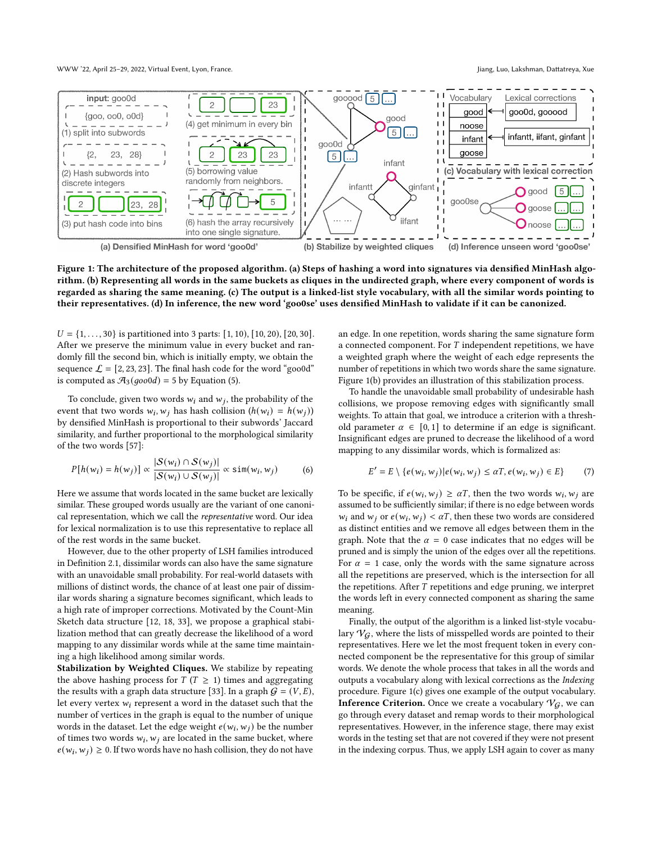WWW '22, April 25-29, 2022, Virtual Event, Lyon, France. Jiang, Luo, Lakshman, Dattatreya, Xue

<span id="page-3-0"></span>

Figure 1: The architecture of the proposed algorithm. (a) Steps of hashing a word into signatures via densified MinHash algorithm. (b) Representing all words in the same buckets as cliques in the undirected graph, where every component of words is regarded as sharing the same meaning. (c) The output is a linked-list style vocabulary, with all the similar words pointing to their representatives. (d) In inference, the new word 'goo0se' uses densified MinHash to validate if it can be canonized.

 $U = \{1, \ldots, 30\}$  is partitioned into 3 parts: [1, 10), [10, 20), [20, 30]. After we preserve the minimum value in every bucket and randomly fill the second bin, which is initially empty, we obtain the sequence  $\mathcal{L} = [2, 23, 23]$ . The final hash code for the word "goo0d" is computed as  $\mathcal{A}_3(goo0d) = 5$  by Equation [\(5\)](#page-2-1).

To conclude, given two words  $w_i$  and  $w_j$ , the probability of the event that two words  $w_i, w_j$  has hash collision  $(h(w_i) = h(w_j))$ by densified MinHash is proportional to their subwords' Jaccard similarity, and further proportional to the morphological similarity of the two words [\[57\]](#page-8-11):

$$
P[h(w_i) = h(w_j)] \propto \frac{|S(w_i) \cap S(w_j)|}{|S(w_i) \cup S(w_j)|} \propto \sin(w_i, w_j)
$$
 (6)

Here we assume that words located in the same bucket are lexically similar. These grouped words usually are the variant of one canonical representation, which we call the representative word. Our idea for lexical normalization is to use this representative to replace all of the rest words in the same bucket.

However, due to the other property of LSH families introduced in Definition [2.1,](#page-2-2) dissimilar words can also have the same signature with an unavoidable small probability. For real-world datasets with millions of distinct words, the chance of at least one pair of dissimilar words sharing a signature becomes significant, which leads to a high rate of improper corrections. Motivated by the Count-Min Sketch data structure [\[12,](#page-8-38) [18,](#page-8-39) [33\]](#page-8-40), we propose a graphical stabilization method that can greatly decrease the likelihood of a word mapping to any dissimilar words while at the same time maintaining a high likelihood among similar words.

Stabilization by Weighted Cliques. We stabilize by repeating the above hashing process for  $T(T \geq 1)$  times and aggregating the results with a graph data structure [\[33\]](#page-8-40). In a graph  $G = (V, E)$ , let every vertex  $w_i$  represent a word in the dataset such that the number of vertices in the graph is equal to the number of unique words in the dataset. Let the edge weight  $e(w_i, w_j)$  be the number of times two words  $w_i, w_j$  are located in the same bucket, where  $e(w_i, w_j) \geq 0$ . If two words have no hash collision, they do not have

an edge. In one repetition, words sharing the same signature form a connected component. For  $T$  independent repetitions, we have a weighted graph where the weight of each edge represents the number of repetitions in which two words share the same signature. Figure [1\(](#page-3-0)b) provides an illustration of this stabilization process.

To handle the unavoidable small probability of undesirable hash collisions, we propose removing edges with significantly small weights. To attain that goal, we introduce a criterion with a threshold parameter  $\alpha \in [0, 1]$  to determine if an edge is significant. Insignificant edges are pruned to decrease the likelihood of a word mapping to any dissimilar words, which is formalized as:

$$
E' = E \setminus \{e(w_i, w_j) | e(w_i, w_j) \leq \alpha T, e(w_i, w_j) \in E\}
$$
 (7)

To be specific, if  $e(w_i, w_j) \ge \alpha T$ , then the two words  $w_i, w_j$  are assumed to be sufficiently similar; if there is no edge between words  $w_i$  and  $w_j$  or  $e(w_i, w_j) < \alpha T$ , then these two words are considered as distinct entities and we remove all edges between them in the graph. Note that the  $\alpha = 0$  case indicates that no edges will be pruned and is simply the union of the edges over all the repetitions. For  $\alpha = 1$  case, only the words with the same signature across all the repetitions are preserved, which is the intersection for all the repetitions. After  $T$  repetitions and edge pruning, we interpret the words left in every connected component as sharing the same meaning.

Finally, the output of the algorithm is a linked list-style vocabulary  $V_G$ , where the lists of misspelled words are pointed to their representatives. Here we let the most frequent token in every connected component be the representative for this group of similar words. We denote the whole process that takes in all the words and outputs a vocabulary along with lexical corrections as the Indexing procedure. Figure [1\(](#page-3-0)c) gives one example of the output vocabulary. **Inference Criterion.** Once we create a vocabulary  $V_G$ , we can go through every dataset and remap words to their morphological representatives. However, in the inference stage, there may exist words in the testing set that are not covered if they were not present in the indexing corpus. Thus, we apply LSH again to cover as many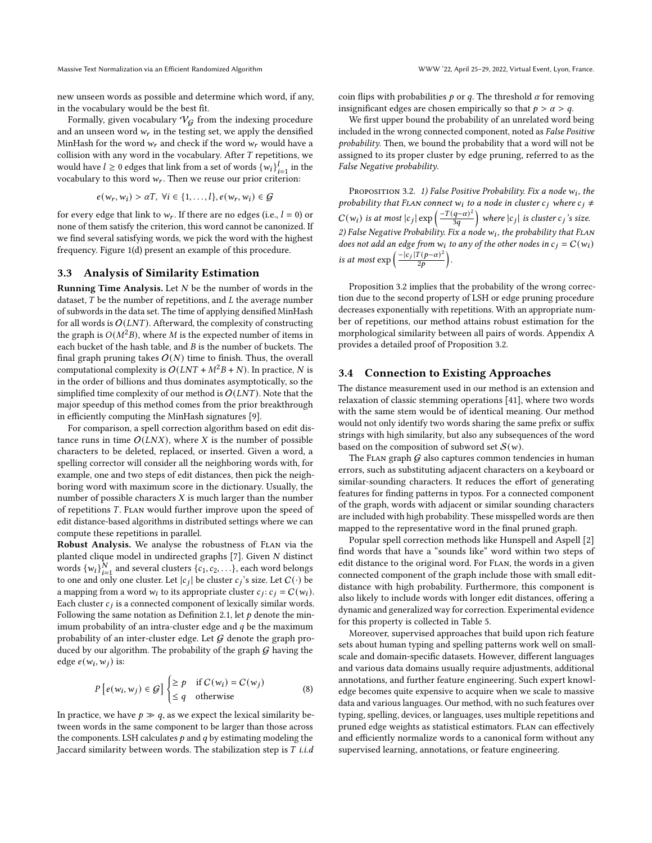new unseen words as possible and determine which word, if any, in the vocabulary would be the best fit.

Formally, given vocabulary  $V_G$  from the indexing procedure and an unseen word  $w_r$  in the testing set, we apply the densified MinHash for the word  $w_r$  and check if the word  $w_r$  would have a collision with any word in the vocabulary. After  $T$  repetitions, we would have  $l \ge 0$  edges that link from a set of words  $\{w_i\}_{i=1}^l$  in the vocabulary to this word  $w_r$ . Then we reuse our prior criterion:

$$
e(w_r, w_i) > \alpha T, \ \forall i \in \{1, \dots, l\}, e(w_r, w_i) \in \mathcal{G}
$$

for every edge that link to  $w_r$ . If there are no edges (i.e.,  $l = 0$ ) or none of them satisfy the criterion, this word cannot be canonized. If we find several satisfying words, we pick the word with the highest frequency. Figure [1\(](#page-3-0)d) present an example of this procedure.

#### <span id="page-4-1"></span>3.3 Analysis of Similarity Estimation

**Running Time Analysis.** Let  $N$  be the number of words in the dataset,  $T$  be the number of repetitions, and  $L$  the average number of subwords in the data set. The time of applying densified MinHash for all words is  $O(LNT)$ . Afterward, the complexity of constructing the graph is  $O(M^2B)$ , where M is the expected number of items in each bucket of the hash table, and  $B$  is the number of buckets. The final graph pruning takes  $O(N)$  time to finish. Thus, the overall computational complexity is  $O(LNT + M^2B + N)$ . In practice, N is in the order of billions and thus dominates asymptotically, so the simplified time complexity of our method is  $O(LNT)$ . Note that the major speedup of this method comes from the prior breakthrough in efficiently computing the MinHash signatures [\[9\]](#page-8-26).

For comparison, a spell correction algorithm based on edit distance runs in time  $O(LNX)$ , where X is the number of possible characters to be deleted, replaced, or inserted. Given a word, a spelling corrector will consider all the neighboring words with, for example, one and two steps of edit distances, then pick the neighboring word with maximum score in the dictionary. Usually, the number of possible characters  $X$  is much larger than the number of repetitions T. FLAN would further improve upon the speed of edit distance-based algorithms in distributed settings where we can compute these repetitions in parallel.

Robust Analysis. We analyse the robustness of FLAN via the planted clique model in undirected graphs  $[7]$ . Given  $N$  distinct words  $\{w_i\}_{i=1}^N$  and several clusters  $\{c_1, c_2, \ldots\}$ , each word belongs to one and only one cluster. Let  $|c_j|$  be cluster  $c_j$ 's size. Let  $C(\cdot)$  be a mapping from a word  $w_i$  to its appropriate cluster  $c_j$ :  $c_j = C(w_i)$ . Each cluster  $c_j$  is a connected component of lexically similar words. Following the same notation as Definition [2.1,](#page-2-2) let  $p$  denote the minimum probability of an intra-cluster edge and  $q$  be the maximum probability of an inter-cluster edge. Let  $G$  denote the graph produced by our algorithm. The probability of the graph  $G$  having the edge  $e(w_i, w_j)$  is:

$$
P\left[e(w_i, w_j) \in \mathcal{G}\right] \begin{cases} \geq p & \text{if } C(w_i) = C(w_j) \\ \leq q & \text{otherwise} \end{cases}
$$
 (8)

In practice, we have  $p \gg q$ , as we expect the lexical similarity between words in the same component to be larger than those across the components. LSH calculates  $p$  and  $q$  by estimating modeling the Jaccard similarity between words. The stabilization step is  $T$  i.i.d

coin flips with probabilities  $p$  or  $q$ . The threshold  $\alpha$  for removing insignificant edges are chosen empirically so that  $p > \alpha > q$ .

We first upper bound the probability of an unrelated word being included in the wrong connected component, noted as False Positive probability. Then, we bound the probability that a word will not be assigned to its proper cluster by edge pruning, referred to as the False Negative probability.

<span id="page-4-0"></span>Proposition 3.2. 1) False Positive Probability. Fix a node  $w_i$ , the probability that FLAN connect  $w_i$  to a node in cluster  $c_j$  where  $c_j \neq$  $C(w_i)$  is at most  $|c_j| \exp\left(\frac{-T(q-\alpha)^2}{3q}\right)$  where  $|c_j|$  is cluster  $c_j$  's size. 2) False Negative Probability. Fix a node  $w_i$ , the probability that FLAN does not add an edge from  $w_i$  to any of the other nodes in  $c_j = C(w_i)$ is at most  $\exp\left(\frac{-|c_j|T(p-\alpha)^2}{2p}\right)$ .

Proposition [3.2](#page-4-0) implies that the probability of the wrong correction due to the second property of LSH or edge pruning procedure decreases exponentially with repetitions. With an appropriate number of repetitions, our method attains robust estimation for the morphological similarity between all pairs of words. Appendix [A](#page-9-0) provides a detailed proof of Proposition [3.2.](#page-4-0)

#### 3.4 Connection to Existing Approaches

The distance measurement used in our method is an extension and relaxation of classic stemming operations [\[41\]](#page-8-42), where two words with the same stem would be of identical meaning. Our method would not only identify two words sharing the same prefix or suffix strings with high similarity, but also any subsequences of the word based on the composition of subword set  $S(w)$ .

The FLAN graph  $G$  also captures common tendencies in human errors, such as substituting adjacent characters on a keyboard or similar-sounding characters. It reduces the effort of generating features for finding patterns in typos. For a connected component of the graph, words with adjacent or similar sounding characters are included with high probability. These misspelled words are then mapped to the representative word in the final pruned graph.

Popular spell correction methods like Hunspell and Aspell [\[2\]](#page-8-43) find words that have a "sounds like" word within two steps of edit distance to the original word. For Flan, the words in a given connected component of the graph include those with small editdistance with high probability. Furthermore, this component is also likely to include words with longer edit distances, offering a dynamic and generalized way for correction. Experimental evidence for this property is collected in Table [5.](#page-10-1)

Moreover, supervised approaches that build upon rich feature sets about human typing and spelling patterns work well on smallscale and domain-specific datasets. However, different languages and various data domains usually require adjustments, additional annotations, and further feature engineering. Such expert knowledge becomes quite expensive to acquire when we scale to massive data and various languages. Our method, with no such features over typing, spelling, devices, or languages, uses multiple repetitions and pruned edge weights as statistical estimators. Flan can effectively and efficiently normalize words to a canonical form without any supervised learning, annotations, or feature engineering.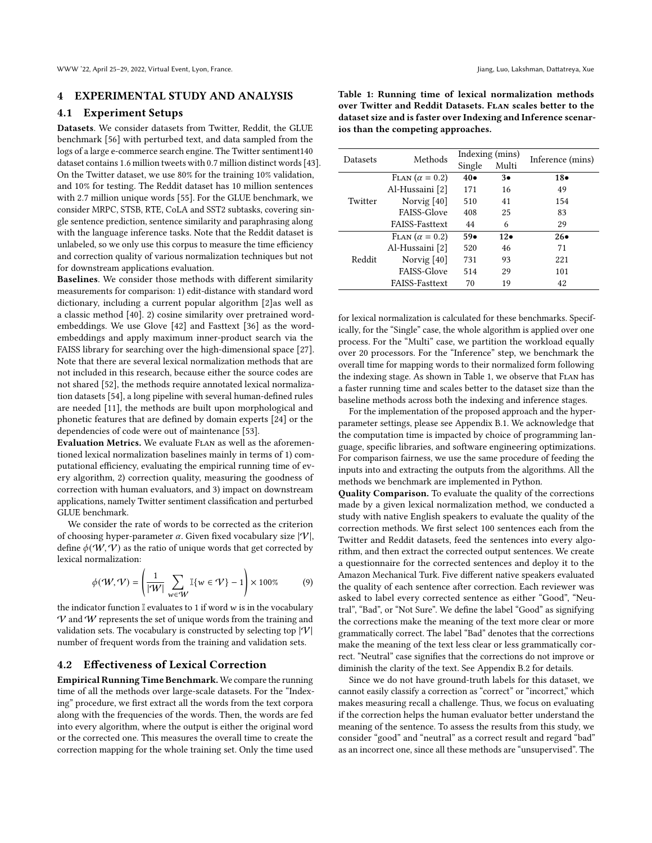# 4 EXPERIMENTAL STUDY AND ANALYSIS

#### 4.1 Experiment Setups

Datasets. We consider datasets from Twitter, Reddit, the GLUE benchmark [\[56\]](#page-8-44) with perturbed text, and data sampled from the logs of a large e-commerce search engine. The Twitter sentiment140 dataset contains 1.6 million tweets with 0.7 million distinct words [\[43\]](#page-8-45). On the Twitter dataset, we use 80% for the training 10% validation, and 10% for testing. The Reddit dataset has 10 million sentences with 2.7 million unique words [\[55\]](#page-8-5). For the GLUE benchmark, we consider MRPC, STSB, RTE, CoLA and SST2 subtasks, covering single sentence prediction, sentence similarity and paraphrasing along with the language inference tasks. Note that the Reddit dataset is unlabeled, so we only use this corpus to measure the time efficiency and correction quality of various normalization techniques but not for downstream applications evaluation.

Baselines. We consider those methods with different similarity measurements for comparison: 1) edit-distance with standard word dictionary, including a current popular algorithm [\[2\]](#page-8-43)as well as a classic method [\[40\]](#page-8-46). 2) cosine similarity over pretrained wordembeddings. We use Glove [\[42\]](#page-8-47) and Fasttext [\[36\]](#page-8-48) as the wordembeddings and apply maximum inner-product search via the FAISS library for searching over the high-dimensional space [\[27\]](#page-8-49). Note that there are several lexical normalization methods that are not included in this research, because either the source codes are not shared [\[52\]](#page-8-50), the methods require annotated lexical normalization datasets [\[54\]](#page-8-51), a long pipeline with several human-defined rules are needed [\[11\]](#page-8-34), the methods are built upon morphological and phonetic features that are defined by domain experts [\[24\]](#page-8-21) or the dependencies of code were out of maintenance [\[53\]](#page-8-52).

Evaluation Metrics. We evaluate Flan as well as the aforementioned lexical normalization baselines mainly in terms of 1) computational efficiency, evaluating the empirical running time of every algorithm, 2) correction quality, measuring the goodness of correction with human evaluators, and 3) impact on downstream applications, namely Twitter sentiment classification and perturbed GLUE benchmark.

We consider the rate of words to be corrected as the criterion of choosing hyper-parameter  $\alpha$ . Given fixed vocabulary size  $|\mathcal{V}|$ , define  $\phi(W, V)$  as the ratio of unique words that get corrected by lexical normalization:

<span id="page-5-1"></span>
$$
\phi(\mathcal{W}, \mathcal{V}) = \left(\frac{1}{|\mathcal{W}|} \sum_{w \in \mathcal{W}} \mathbb{I}\{w \in \mathcal{V}\} - 1\right) \times 100\% \tag{9}
$$

the indicator function  $\mathbb I$  evaluates to 1 if word  $w$  is in the vocabulary  $V$  and  $W$  represents the set of unique words from the training and validation sets. The vocabulary is constructed by selecting top  $|\mathcal{V}|$ number of frequent words from the training and validation sets.

## 4.2 Effectiveness of Lexical Correction

Empirical Running Time Benchmark. We compare the running time of all the methods over large-scale datasets. For the "Indexing" procedure, we first extract all the words from the text corpora along with the frequencies of the words. Then, the words are fed into every algorithm, where the output is either the original word or the corrected one. This measures the overall time to create the correction mapping for the whole training set. Only the time used

<span id="page-5-0"></span>Table 1: Running time of lexical normalization methods over Twitter and Reddit Datasets. FLAN scales better to the dataset size and is faster over Indexing and Inference scenarios than the competing approaches.

| Datasets | Methods               |             | Indexing (mins) |                  |  |
|----------|-----------------------|-------------|-----------------|------------------|--|
|          |                       | Single      | Multi           | Inference (mins) |  |
|          | FLAN $(\alpha = 0.2)$ | $40\bullet$ | $3\bullet$      | $18\bullet$      |  |
|          | Al-Hussaini [2]       | 171         | 16              | 49               |  |
| Twitter  | Norvig $[40]$         | 510         | 41              | 154              |  |
|          | <b>FAISS-Glove</b>    | 408         | 25              | 83               |  |
|          | <b>FAISS-Fasttext</b> | 44          | 6               | 29               |  |
|          | FLAN $(\alpha = 0.2)$ | $59\bullet$ | $12\bullet$     | $26\bullet$      |  |
|          | Al-Hussaini [2]       | 520         | 46              | 71               |  |
| Reddit   | Norvig $[40]$         | 731         | 93              | 221              |  |
|          | <b>FAISS-Glove</b>    | 514         | 29              | 101              |  |
|          | <b>FAISS-Fasttext</b> | 70          | 19              | 42               |  |

for lexical normalization is calculated for these benchmarks. Specifically, for the "Single" case, the whole algorithm is applied over one process. For the "Multi" case, we partition the workload equally over 20 processors. For the "Inference" step, we benchmark the overall time for mapping words to their normalized form following the indexing stage. As shown in Table [1,](#page-5-0) we observe that Flan has a faster running time and scales better to the dataset size than the baseline methods across both the indexing and inference stages.

For the implementation of the proposed approach and the hyperparameter settings, please see Appendix [B.1.](#page-9-1) We acknowledge that the computation time is impacted by choice of programming language, specific libraries, and software engineering optimizations. For comparison fairness, we use the same procedure of feeding the inputs into and extracting the outputs from the algorithms. All the methods we benchmark are implemented in Python.

Quality Comparison. To evaluate the quality of the corrections made by a given lexical normalization method, we conducted a study with native English speakers to evaluate the quality of the correction methods. We first select 100 sentences each from the Twitter and Reddit datasets, feed the sentences into every algorithm, and then extract the corrected output sentences. We create a questionnaire for the corrected sentences and deploy it to the Amazon Mechanical Turk. Five different native speakers evaluated the quality of each sentence after correction. Each reviewer was asked to label every corrected sentence as either "Good", "Neutral", "Bad", or "Not Sure". We define the label "Good" as signifying the corrections make the meaning of the text more clear or more grammatically correct. The label "Bad" denotes that the corrections make the meaning of the text less clear or less grammatically correct. "Neutral" case signifies that the corrections do not improve or diminish the clarity of the text. See Appendix [B.2](#page-10-2) for details.

Since we do not have ground-truth labels for this dataset, we cannot easily classify a correction as "correct" or "incorrect," which makes measuring recall a challenge. Thus, we focus on evaluating if the correction helps the human evaluator better understand the meaning of the sentence. To assess the results from this study, we consider "good" and "neutral" as a correct result and regard "bad" as an incorrect one, since all these methods are "unsupervised". The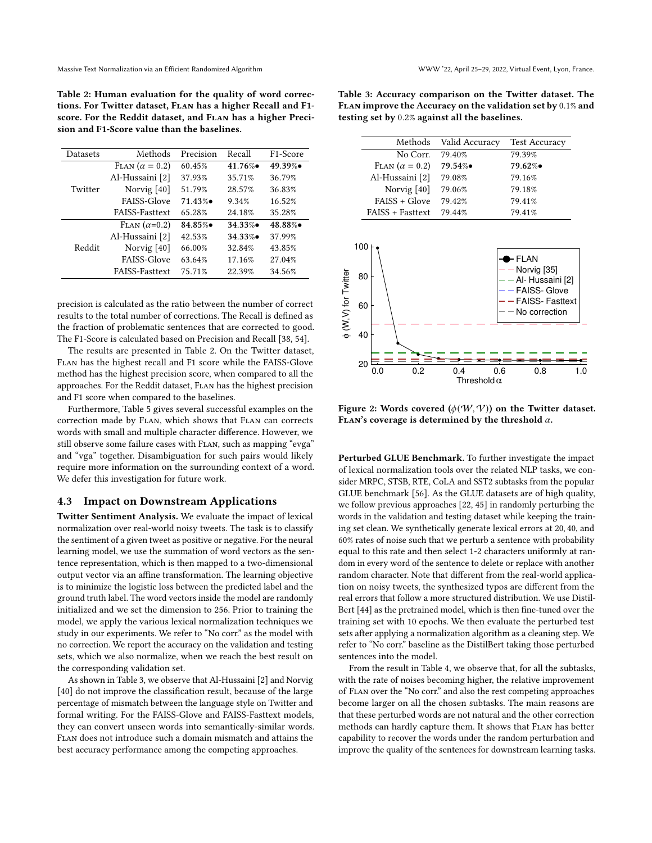<span id="page-6-0"></span>Table 2: Human evaluation for the quality of word corrections. For Twitter dataset, FLAN has a higher Recall and F1score. For the Reddit dataset, and FLAN has a higher Precision and F1-Score value than the baselines.

| <b>Datasets</b> | Methods               | Precision | Recall    | F <sub>1</sub> -Score |
|-----------------|-----------------------|-----------|-----------|-----------------------|
|                 | FLAN $(\alpha = 0.2)$ | 60.45%    | $41.76\%$ | 49.39%•               |
|                 | Al-Hussaini [2]       | 37.93%    | 35.71%    | 36.79%                |
| Twitter         | Norvig $[40]$         | 51.79%    | 28.57%    | 36.83%                |
|                 | FAISS-Glove           | $71.43\%$ | 9.34%     | 16.52%                |
|                 | <b>FAISS-Fasttext</b> | 65.28%    | 24.18%    | 35.28%                |
|                 | $FLAN (\alpha=0.2)$   | 84.85%    | 34.33%    | 48.88%                |
| Reddit          | Al-Hussaini [2]       | 42.53%    | 34.33%    | 37.99%                |
|                 | Norvig $[40]$         | 66.00%    | 32.84%    | 43.85%                |
|                 | FAISS-Glove           | 63.64%    | 17.16%    | 27.04%                |
|                 | <b>FAISS-Fasttext</b> | 75.71%    | 22.39%    | 34.56%                |

precision is calculated as the ratio between the number of correct results to the total number of corrections. The Recall is defined as the fraction of problematic sentences that are corrected to good. The F1-Score is calculated based on Precision and Recall [\[38,](#page-8-15) [54\]](#page-8-51).

The results are presented in Table [2.](#page-6-0) On the Twitter dataset, Flan has the highest recall and F1 score while the FAISS-Glove method has the highest precision score, when compared to all the approaches. For the Reddit dataset, Flan has the highest precision and F1 score when compared to the baselines.

Furthermore, Table [5](#page-10-1) gives several successful examples on the correction made by Flan, which shows that Flan can corrects words with small and multiple character difference. However, we still observe some failure cases with Flan, such as mapping "evga" and "vga" together. Disambiguation for such pairs would likely require more information on the surrounding context of a word. We defer this investigation for future work.

#### 4.3 Impact on Downstream Applications

Twitter Sentiment Analysis. We evaluate the impact of lexical normalization over real-world noisy tweets. The task is to classify the sentiment of a given tweet as positive or negative. For the neural learning model, we use the summation of word vectors as the sentence representation, which is then mapped to a two-dimensional output vector via an affine transformation. The learning objective is to minimize the logistic loss between the predicted label and the ground truth label. The word vectors inside the model are randomly initialized and we set the dimension to 256. Prior to training the model, we apply the various lexical normalization techniques we study in our experiments. We refer to "No corr." as the model with no correction. We report the accuracy on the validation and testing sets, which we also normalize, when we reach the best result on the corresponding validation set.

As shown in Table [3,](#page-6-1) we observe that Al-Hussaini [\[2\]](#page-8-43) and Norvig [\[40\]](#page-8-46) do not improve the classification result, because of the large percentage of mismatch between the language style on Twitter and formal writing. For the FAISS-Glove and FAISS-Fasttext models, they can convert unseen words into semantically-similar words. Flan does not introduce such a domain mismatch and attains the best accuracy performance among the competing approaches.

<span id="page-6-1"></span>Table 3: Accuracy comparison on the Twitter dataset. The Flan improve the Accuracy on the validation set by 0.1% and testing set by 0.2% against all the baselines.

|                       | Methods Valid Accuracy | <b>Test Accuracy</b> |  |  |
|-----------------------|------------------------|----------------------|--|--|
| No Corr.              | 79.40%                 | 79.39%               |  |  |
| FLAN $(\alpha = 0.2)$ | 79.54%•                | 79.62%•              |  |  |
| Al-Hussaini [2]       | 79.08%                 | 79.16%               |  |  |
| Norvig $[40]$         | 79.06%                 | 79.18%               |  |  |
| $FAISS + Glove$       | 79.42%                 | 79.41%               |  |  |
| FAISS + Fasttext      | 79.44%                 | 79.41%               |  |  |
|                       |                        |                      |  |  |

<span id="page-6-2"></span>

Figure 2: Words covered  $(\phi(W, V))$  on the Twitter dataset. FLAN's coverage is determined by the threshold  $\alpha$ .

Perturbed GLUE Benchmark. To further investigate the impact of lexical normalization tools over the related NLP tasks, we consider MRPC, STSB, RTE, CoLA and SST2 subtasks from the popular GLUE benchmark [\[56\]](#page-8-44). As the GLUE datasets are of high quality, we follow previous approaches [\[22,](#page-8-22) [45\]](#page-8-53) in randomly perturbing the words in the validation and testing dataset while keeping the training set clean. We synthetically generate lexical errors at 20, 40, and 60% rates of noise such that we perturb a sentence with probability equal to this rate and then select 1-2 characters uniformly at random in every word of the sentence to delete or replace with another random character. Note that different from the real-world application on noisy tweets, the synthesized typos are different from the real errors that follow a more structured distribution. We use Distil-Bert [\[44\]](#page-8-54) as the pretrained model, which is then fine-tuned over the training set with 10 epochs. We then evaluate the perturbed test sets after applying a normalization algorithm as a cleaning step. We refer to "No corr." baseline as the DistilBert taking those perturbed sentences into the model.

From the result in Table [4,](#page-7-0) we observe that, for all the subtasks, with the rate of noises becoming higher, the relative improvement of Flan over the "No corr." and also the rest competing approaches become larger on all the chosen subtasks. The main reasons are that these perturbed words are not natural and the other correction methods can hardly capture them. It shows that Flan has better capability to recover the words under the random perturbation and improve the quality of the sentences for downstream learning tasks.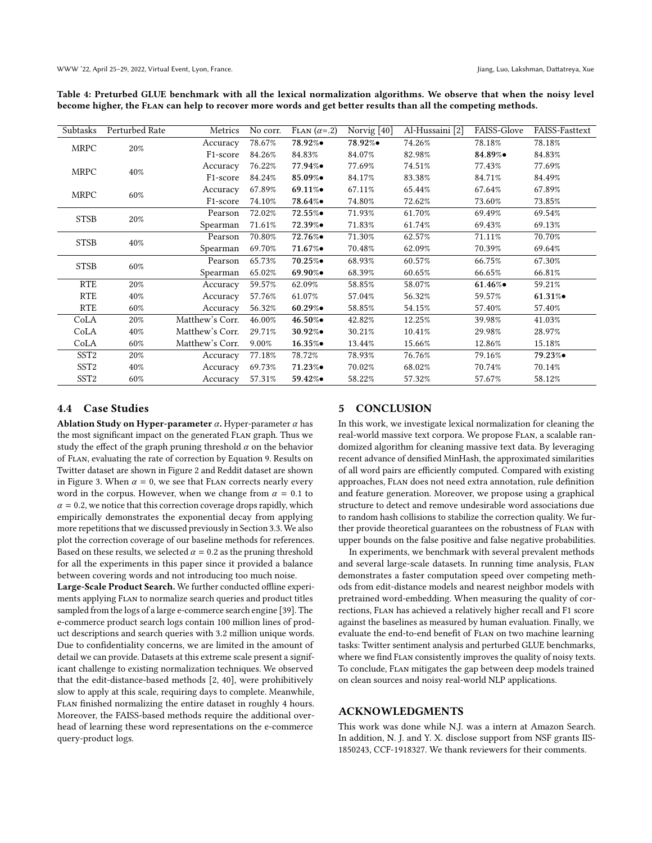<span id="page-7-0"></span>Table 4: Preturbed GLUE benchmark with all the lexical normalization algorithms. We observe that when the noisy level become higher, the Flan can help to recover more words and get better results than all the competing methods.

| Subtasks         | Perturbed Rate | Metrics               | No corr. | $FLAN (\alpha = .2)$ | Norvig $[40]$ | Al-Hussaini [2] | FAISS-Glove | <b>FAISS-Fasttext</b> |
|------------------|----------------|-----------------------|----------|----------------------|---------------|-----------------|-------------|-----------------------|
| <b>MRPC</b>      | 20%            | Accuracy              | 78.67%   | 78.92%•              | 78.92%•       | 74.26%          | 78.18%      | 78.18%                |
|                  |                | F <sub>1</sub> -score | 84.26%   | 84.83%               | 84.07%        | 82.98%          | 84.89%•     | 84.83%                |
| <b>MRPC</b>      | $40\%$         | Accuracy              | 76.22%   | $77.94\%$            | 77.69%        | 74.51%          | 77.43%      | 77.69%                |
|                  |                | F <sub>1</sub> -score | 84.24%   | 85.09%•              | 84.17%        | 83.38%          | 84.71%      | 84.49%                |
| <b>MRPC</b>      | 60%            | Accuracy              | 67.89%   | $69.11\%$            | 67.11%        | 65.44%          | 67.64%      | 67.89%                |
|                  |                | F <sub>1</sub> -score | 74.10%   | 78.64%•              | 74.80%        | 72.62%          | 73.60%      | 73.85%                |
| <b>STSB</b>      | 20%            | Pearson               | 72.02%   | $72.55\%$            | 71.93%        | 61.70%          | 69.49%      | 69.54%                |
|                  |                | Spearman              | 71.61%   | $72.39\%$            | 71.83%        | 61.74%          | 69.43%      | 69.13%                |
| <b>STSB</b>      | $40\%$         | Pearson               | 70.80%   | 72.76%●              | 71.30%        | 62.57%          | 71.11%      | 70.70%                |
|                  |                | Spearman              | 69.70%   | $71.67\%$            | 70.48%        | 62.09%          | 70.39%      | 69.64%                |
| <b>STSB</b>      | 60%            | Pearson               | 65.73%   | 70.25%               | 68.93%        | 60.57%          | 66.75%      | 67.30%                |
|                  |                | Spearman              | 65.02%   | $69.90\%$            | 68.39%        | 60.65%          | 66.65%      | 66.81%                |
| <b>RTE</b>       | 20%            | Accuracy              | 59.57%   | 62.09%               | 58.85%        | 58.07%          | $61.46\%$   | 59.21%                |
| <b>RTE</b>       | $40\%$         | Accuracy              | 57.76%   | 61.07%               | 57.04%        | 56.32%          | 59.57%      | $61.31\%$             |
| <b>RTE</b>       | 60%            | Accuracy              | 56.32%   | $60.29\%$            | 58.85%        | 54.15%          | 57.40%      | 57.40%                |
| CoLA             | 20%            | Matthew's Corr.       | 46.00%   | 46.50%•              | 42.82%        | 12.25%          | 39.98%      | 41.03%                |
| CoLA             | $40\%$         | Matthew's Corr.       | 29.71%   | $30.92\%$            | 30.21%        | 10.41%          | 29.98%      | 28.97%                |
| CoLA             | 60%            | Matthew's Corr.       | 9.00%    | $16.35\%$            | 13.44%        | 15.66%          | 12.86%      | 15.18%                |
| SST <sub>2</sub> | $20\%$         | Accuracy              | 77.18%   | 78.72%               | 78.93%        | 76.76%          | 79.16%      | 79.23%●               |
| SST <sub>2</sub> | $40\%$         | Accuracy              | 69.73%   | $71.23\%$            | 70.02%        | 68.02%          | 70.74%      | 70.14%                |
| SST <sub>2</sub> | 60%            | Accuracy              | 57.31%   | $59.42\%$            | 58.22%        | 57.32%          | 57.67%      | 58.12%                |

# 4.4 Case Studies

Ablation Study on Hyper-parameter  $\alpha$ . Hyper-parameter  $\alpha$  has the most significant impact on the generated Flan graph. Thus we study the effect of the graph pruning threshold  $\alpha$  on the behavior of Flan, evaluating the rate of correction by Equation [9.](#page-5-1) Results on Twitter dataset are shown in Figure [2](#page-6-2) and Reddit dataset are shown in Figure [3.](#page-10-3) When  $\alpha = 0$ , we see that FLAN corrects nearly every word in the corpus. However, when we change from  $\alpha = 0.1$  to  $\alpha = 0.2$ , we notice that this correction coverage drops rapidly, which empirically demonstrates the exponential decay from applying more repetitions that we discussed previously in Section [3.3.](#page-4-1) We also plot the correction coverage of our baseline methods for references. Based on these results, we selected  $\alpha = 0.2$  as the pruning threshold for all the experiments in this paper since it provided a balance between covering words and not introducing too much noise.

Large-Scale Product Search. We further conducted offline experiments applying Flan to normalize search queries and product titles sampled from the logs of a large e-commerce search engine [\[39\]](#page-8-55). The e-commerce product search logs contain 100 million lines of product descriptions and search queries with 3.2 million unique words. Due to confidentiality concerns, we are limited in the amount of detail we can provide. Datasets at this extreme scale present a significant challenge to existing normalization techniques. We observed that the edit-distance-based methods [\[2,](#page-8-43) [40\]](#page-8-46), were prohibitively slow to apply at this scale, requiring days to complete. Meanwhile, Flan finished normalizing the entire dataset in roughly 4 hours. Moreover, the FAISS-based methods require the additional overhead of learning these word representations on the e-commerce query-product logs.

#### 5 CONCLUSION

In this work, we investigate lexical normalization for cleaning the real-world massive text corpora. We propose Flan, a scalable randomized algorithm for cleaning massive text data. By leveraging recent advance of densified MinHash, the approximated similarities of all word pairs are efficiently computed. Compared with existing approaches, Flan does not need extra annotation, rule definition and feature generation. Moreover, we propose using a graphical structure to detect and remove undesirable word associations due to random hash collisions to stabilize the correction quality. We further provide theoretical guarantees on the robustness of Flan with upper bounds on the false positive and false negative probabilities.

In experiments, we benchmark with several prevalent methods and several large-scale datasets. In running time analysis, Flan demonstrates a faster computation speed over competing methods from edit-distance models and nearest neighbor models with pretrained word-embedding. When measuring the quality of corrections, Flan has achieved a relatively higher recall and F1 score against the baselines as measured by human evaluation. Finally, we evaluate the end-to-end benefit of Flan on two machine learning tasks: Twitter sentiment analysis and perturbed GLUE benchmarks, where we find Flan consistently improves the quality of noisy texts. To conclude, Flan mitigates the gap between deep models trained on clean sources and noisy real-world NLP applications.

# ACKNOWLEDGMENTS

This work was done while N.J. was a intern at Amazon Search. In addition, N. J. and Y. X. disclose support from NSF grants IIS-1850243, CCF-1918327. We thank reviewers for their comments.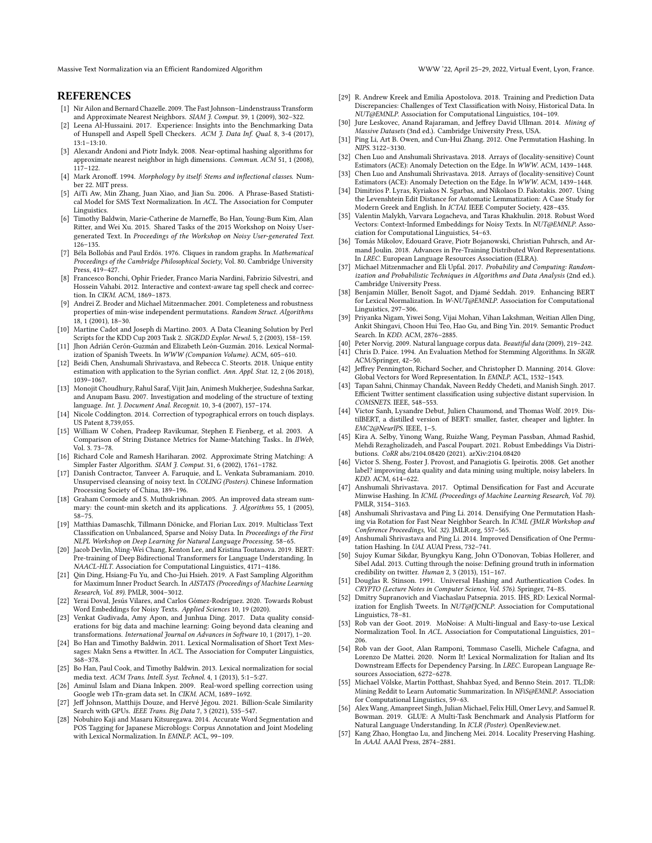Massive Text Normalization via an Efficient Randomized Algorithm WWW '22, April 25–29, 2022, Virtual Event, Lyon, France.

#### **REFERENCES**

- <span id="page-8-27"></span>[1] Nir Ailon and Bernard Chazelle. 2009. The Fast Johnson–Lindenstrauss Transform and Approximate Nearest Neighbors. SIAM J. Comput. 39, 1 (2009), 302-322.
- <span id="page-8-43"></span>[2] Leena Al-Hussaini. 2017. Experience: Insights into the Benchmarking Data of Hunspell and Aspell Spell Checkers. ACM J. Data Inf. Qual. 8, 3-4 (2017), 13:1–13:10.
- <span id="page-8-24"></span>[3] Alexandr Andoni and Piotr Indyk. 2008. Near-optimal hashing algorithms for approximate nearest neighbor in high dimensions. Commun. ACM 51, 1 (2008), 117–122.
- <span id="page-8-31"></span>[4] Mark Aronoff. 1994. Morphology by itself: Stems and inflectional classes. Number 22. MIT press.
- <span id="page-8-19"></span>[5] AiTi Aw, Min Zhang, Juan Xiao, and Jian Su. 2006. A Phrase-Based Statistical Model for SMS Text Normalization. In ACL. The Association for Computer Linguistics.
- <span id="page-8-14"></span>[6] Timothy Baldwin, Marie-Catherine de Marneffe, Bo Han, Young-Bum Kim, Alan Ritter, and Wei Xu. 2015. Shared Tasks of the 2015 Workshop on Noisy Usergenerated Text. In Proceedings of the Workshop on Noisy User-generated Text. 126–135.
- <span id="page-8-41"></span>[7] Béla Bollobás and Paul Erdös. 1976. Cliques in random graphs. In Mathematical Proceedings of the Cambridge Philosophical Society, Vol. 80. Cambridge University Press, 419–427.
- <span id="page-8-12"></span>[8] Francesco Bonchi, Ophir Frieder, Franco Maria Nardini, Fabrizio Silvestri, and Hossein Vahabi. 2012. Interactive and context-aware tag spell check and correction. In CIKM. ACM, 1869–1873.
- <span id="page-8-26"></span>[9] Andrei Z. Broder and Michael Mitzenmacher. 2001. Completeness and robustness properties of min-wise independent permutations. Random Struct. Algorithms 18, 1 (2001), 18–30.
- <span id="page-8-18"></span>[10] Martine Cadot and Joseph di Martino. 2003. A Data Cleaning Solution by Perl Scripts for the KDD Cup 2003 Task 2. SIGKDD Explor. Newsl. 5, 2 (2003), 158–159.
- <span id="page-8-34"></span>[11] Jhon Adrián Cerón-Guzmán and Elizabeth León-Guzmán. 2016. Lexical Normalization of Spanish Tweets. In WWW (Companion Volume). ACM, 605–610.
- <span id="page-8-38"></span>[12] Beidi Chen, Anshumali Shrivastava, and Rebecca C. Steorts. 2018. Unique entity estimation with application to the Syrian conflict. Ann. Appl. Stat. 12, 2 (06 2018), 1039–1067.
- <span id="page-8-9"></span>[13] Monojit Choudhury, Rahul Saraf, Vijit Jain, Animesh Mukherjee, Sudeshna Sarkar, and Anupam Basu. 2007. Investigation and modeling of the structure of texting language. Int. J. Document Anal. Recognit. 10, 3-4 (2007), 157–174.
- <span id="page-8-13"></span>[14] Nicole Coddington. 2014. Correction of typographical errors on touch displays. US Patent 8,739,055.
- <span id="page-8-32"></span>[15] William W Cohen, Pradeep Ravikumar, Stephen E Fienberg, et al. 2003. A Comparison of String Distance Metrics for Name-Matching Tasks.. In IIWeb, Vol. 3. 73–78.
- <span id="page-8-10"></span>[16] Richard Cole and Ramesh Hariharan. 2002. Approximate String Matching: A Simpler Faster Algorithm. SIAM *J. Comput.* 31, 6 (2002), 1761-1782.
- <span id="page-8-20"></span>[17] Danish Contractor, Tanveer A. Faruquie, and L. Venkata Subramaniam. 2010. Unsupervised cleansing of noisy text. In COLING (Posters). Chinese Information Processing Society of China, 189–196.
- <span id="page-8-39"></span>[18] Graham Cormode and S. Muthukrishnan. 2005. An improved data stream summary: the count-min sketch and its applications. J. Algorithms 55, 1 (2005), 58–75.
- <span id="page-8-2"></span>[19] Matthias Damaschk, Tillmann Dönicke, and Florian Lux. 2019. Multiclass Text Classification on Unbalanced, Sparse and Noisy Data. In Proceedings of the First NLPL Workshop on Deep Learning for Natural Language Processing. 58–65.
- <span id="page-8-6"></span>[20] Jacob Devlin, Ming-Wei Chang, Kenton Lee, and Kristina Toutanova. 2019. BERT: Pre-training of Deep Bidirectional Transformers for Language Understanding. In NAACL-HLT. Association for Computational Linguistics, 4171–4186.
- <span id="page-8-33"></span>[21] Qin Ding, Hsiang-Fu Yu, and Cho-Jui Hsieh. 2019. A Fast Sampling Algorithm for Maximum Inner Product Search. In AISTATS (Proceedings of Machine Learning Research, Vol. 89). PMLR, 3004–3012.
- <span id="page-8-22"></span>[22] Yerai Doval, Jesús Vilares, and Carlos Gómez-Rodríguez. 2020. Towards Robust Word Embeddings for Noisy Texts. Applied Sciences 10, 19 (2020).
- <span id="page-8-0"></span>[23] Venkat Gudivada, Amy Apon, and Junhua Ding. 2017. Data quality considerations for big data and machine learning: Going beyond data cleaning and transformations. International Journal on Advances in Software 10, 1 (2017), 1–20.
- <span id="page-8-21"></span>[24] Bo Han and Timothy Baldwin. 2011. Lexical Normalisation of Short Text Messages: Makn Sens a #twitter. In ACL. The Association for Computer Linguistics, 368–378.
- <span id="page-8-7"></span>[25] Bo Han, Paul Cook, and Timothy Baldwin. 2013. Lexical normalization for social media text. ACM Trans. Intell. Syst. Technol. 4, 1 (2013), 5:1–5:27.
- <span id="page-8-16"></span>[26] Aminul Islam and Diana Inkpen. 2009. Real-word spelling correction using Google web 1Tn-gram data set. In CIKM. ACM, 1689–1692.
- <span id="page-8-49"></span>[27] Jeff Johnson, Matthijs Douze, and Hervé Jégou. 2021. Billion-Scale Similarity Search with GPUs. IEEE Trans. Big Data 7, 3 (2021), 535-547.
- <span id="page-8-8"></span>[28] Nobuhiro Kaji and Masaru Kitsuregawa. 2014. Accurate Word Segmentation and POS Tagging for Japanese Microblogs: Corpus Annotation and Joint Modeling with Lexical Normalization. In EMNLP. ACL, 99–109.
- <span id="page-8-3"></span>[29] R. Andrew Kreek and Emilia Apostolova. 2018. Training and Prediction Data Discrepancies: Challenges of Text Classification with Noisy, Historical Data. In NUT@EMNLP. Association for Computational Linguistics, 104–109.
- <span id="page-8-25"></span>[30] Jure Leskovec, Anand Rajaraman, and Jeffrey David Ullman. 2014. Mining of Massive Datasets (3nd ed.). Cambridge University Press, USA.
- <span id="page-8-36"></span>[31] Ping Li, Art B. Owen, and Cun-Hui Zhang. 2012. One Permutation Hashing. In NIPS. 3122–3130.
- <span id="page-8-37"></span>[32] Chen Luo and Anshumali Shrivastava. 2018. Arrays of (locality-sensitive) Count Estimators (ACE): Anomaly Detection on the Edge. In WWW. ACM, 1439–1448.
- <span id="page-8-40"></span>[33] Chen Luo and Anshumali Shrivastava. 2018. Arrays of (locality-sensitive) Count Estimators (ACE): Anomaly Detection on the Edge. In WWW. ACM, 1439–1448.
- <span id="page-8-17"></span>[34] Dimitrios P. Lyras, Kyriakos N. Sgarbas, and Nikolaos D. Fakotakis. 2007. Using the Levenshtein Edit Distance for Automatic Lemmatization: A Case Study for Modern Greek and English. In ICTAI. IEEE Computer Society, 428–435.
- <span id="page-8-23"></span>[35] Valentin Malykh, Varvara Logacheva, and Taras Khakhulin. 2018. Robust Word Vectors: Context-Informed Embeddings for Noisy Texts. In NUT@EMNLP. Association for Computational Linguistics, 54–63.
- <span id="page-8-48"></span>[36] Tomás Mikolov, Edouard Grave, Piotr Bojanowski, Christian Puhrsch, and Armand Joulin. 2018. Advances in Pre-Training Distributed Word Representations. In LREC. European Language Resources Association (ELRA).
- <span id="page-8-56"></span>[37] Michael Mitzenmacher and Eli Upfal. 2017. Probability and Computing: Randomization and Probabilistic Techniques in Algorithms and Data Analysis (2nd ed.). Cambridge University Press.
- <span id="page-8-15"></span>[38] Benjamin Müller, Benoît Sagot, and Djamé Seddah. 2019. Enhancing BERT for Lexical Normalization. In W-NUT@EMNLP. Association for Computational Linguistics, 297–306.
- <span id="page-8-55"></span>[39] Priyanka Nigam, Yiwei Song, Vijai Mohan, Vihan Lakshman, Weitian Allen Ding, Ankit Shingavi, Choon Hui Teo, Hao Gu, and Bing Yin. 2019. Semantic Product Search. In KDD. ACM, 2876–2885.
- <span id="page-8-46"></span><span id="page-8-42"></span>[40] Peter Norvig. 2009. Natural language corpus data. Beautiful data (2009), 219–242. [41] Chris D. Paice. 1994. An Evaluation Method for Stemming Algorithms. In SIGIR.
- ACM/Springer, 42–50.
- <span id="page-8-47"></span>[42] Jeffrey Pennington, Richard Socher, and Christopher D. Manning. 2014. Glove: Global Vectors for Word Representation. In EMNLP. ACL, 1532–1543. [43] Tapan Sahni, Chinmay Chandak, Naveen Reddy Chedeti, and Manish Singh. 2017.
- <span id="page-8-45"></span>Efficient Twitter sentiment classification using subjective distant supervision. In COMSNETS. IEEE, 548–553.
- <span id="page-8-54"></span>[44] Victor Sanh, Lysandre Debut, Julien Chaumond, and Thomas Wolf. 2019. DistilBERT, a distilled version of BERT: smaller, faster, cheaper and lighter. In EMC2@NeurIPS. IEEE, 1–5.
- <span id="page-8-53"></span>[45] Kira A. Selby, Yinong Wang, Ruizhe Wang, Peyman Passban, Ahmad Rashid, Mehdi Rezagholizadeh, and Pascal Poupart. 2021. Robust Embeddings Via Distributions. CoRR abs/2104.08420 (2021). arXiv[:2104.08420](https://arxiv.org/abs/2104.08420)
- <span id="page-8-1"></span>[46] Victor S. Sheng, Foster J. Provost, and Panagiotis G. Ipeirotis. 2008. Get another label? improving data quality and data mining using multiple, noisy labelers. In KDD. ACM, 614–622.
- <span id="page-8-30"></span>[47] Anshumali Shrivastava. 2017. Optimal Densification for Fast and Accurate Minwise Hashing. In ICML (Proceedings of Machine Learning Research, Vol. 70). PMLR, 3154–3163.
- <span id="page-8-28"></span>[48] Anshumali Shrivastava and Ping Li. 2014. Densifying One Permutation Hashing via Rotation for Fast Near Neighbor Search. In ICML (JMLR Workshop and Conference Proceedings, Vol. 32). JMLR.org, 557–565.
- <span id="page-8-29"></span>[49] Anshumali Shrivastava and Ping Li. 2014. Improved Densification of One Permutation Hashing. In UAI. AUAI Press, 732–741.
- <span id="page-8-4"></span>[50] Sujoy Kumar Sikdar, Byungkyu Kang, John O'Donovan, Tobias Hollerer, and Sibel Adal. 2013. Cutting through the noise: Defining ground truth in information credibility on twitter. Human 2, 3 (2013), 151–167.
- <span id="page-8-35"></span>[51] Douglas R. Stinson. 1991. Universal Hashing and Authentication Codes. In CRYPTO (Lecture Notes in Computer Science, Vol. 576). Springer, 74–85.
- <span id="page-8-50"></span>[52] Dmitry Supranovich and Viachaslau Patsepnia. 2015. IHS\_RD: Lexical Normalization for English Tweets. In NUT@IJCNLP. Association for Computational Linguistics, 78–81.
- <span id="page-8-52"></span>[53] Rob van der Goot. 2019. MoNoise: A Multi-lingual and Easy-to-use Lexical Normalization Tool. In ACL. Association for Computational Linguistics, 201– 206.
- <span id="page-8-51"></span>[54] Rob van der Goot, Alan Ramponi, Tommaso Caselli, Michele Cafagna, and Lorenzo De Mattei. 2020. Norm It! Lexical Normalization for Italian and Its Downstream Effects for Dependency Parsing. In LREC. European Language Resources Association, 6272–6278.
- <span id="page-8-5"></span>[55] Michael Völske, Martin Potthast, Shahbaz Syed, and Benno Stein. 2017. TL;DR: Mining Reddit to Learn Automatic Summarization. In NFiS@EMNLP. Association for Computational Linguistics, 59–63.
- <span id="page-8-44"></span>[56] Alex Wang, Amanpreet Singh, Julian Michael, Felix Hill, Omer Levy, and Samuel R. Bowman. 2019. GLUE: A Multi-Task Benchmark and Analysis Platform for Natural Language Understanding. In ICLR (Poster). OpenReview.net.
- <span id="page-8-11"></span>[57] Kang Zhao, Hongtao Lu, and Jincheng Mei. 2014. Locality Preserving Hashing. In AAAI. AAAI Press, 2874–2881.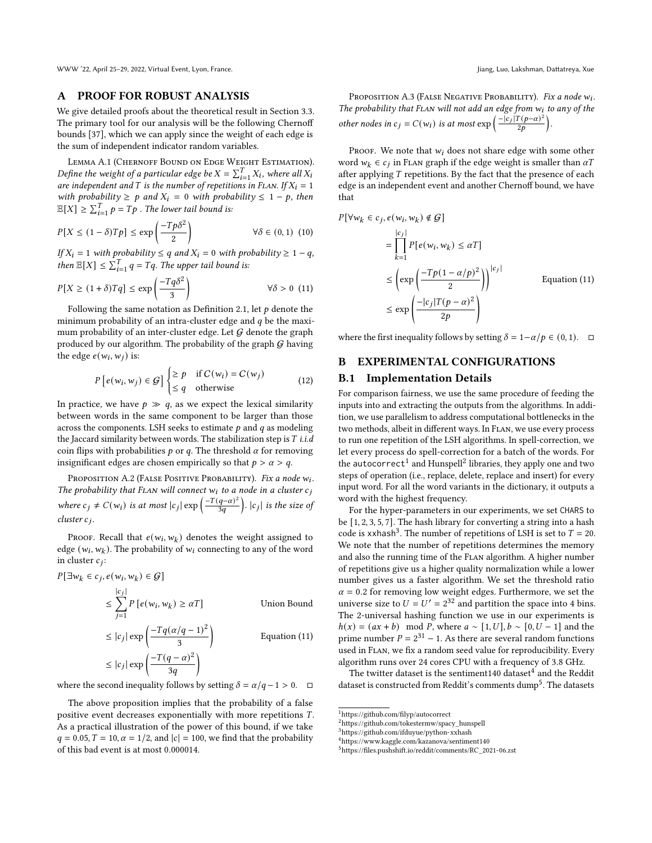WWW '22, April 25-29, 2022, Virtual Event, Lyon, France. Jiang, Luo, Lakshman, Dattatreya, Xue

#### <span id="page-9-0"></span>A PROOF FOR ROBUST ANALYSIS

We give detailed proofs about the theoretical result in Section [3.3.](#page-4-1) The primary tool for our analysis will be the following Chernoff bounds [\[37\]](#page-8-56), which we can apply since the weight of each edge is the sum of independent indicator random variables.

LEMMA A.1 (CHERNOFF BOUND ON EDGE WEIGHT ESTIMATION). Define the weight of a particular edge be  $X = \sum_{i=1}^{T} X_i$ , where all  $X_i$ are independent and T is the number of repetitions in FLAN. If  $X_i = 1$ with probability  $\geq p$  and  $X_i = 0$  with probability  $\leq 1 - p$ , then  $\mathbb{E}[X] \ge \sum_{i=1}^T p = Tp$ . The lower tail bound is:

$$
P[X \le (1 - \delta)T_p] \le \exp\left(\frac{-Tp\delta^2}{2}\right) \qquad \forall \delta \in (0, 1) \tag{10}
$$

If  $X_i = 1$  with probability  $\leq q$  and  $X_i = 0$  with probability  $\geq 1 - q$ , then  $\mathbb{E}[X] \leq \sum_{i=1}^{T} q = Tq$ . The upper tail bound is:

$$
P[X \ge (1+\delta)Tq] \le \exp\left(\frac{-Tq\delta^2}{3}\right) \qquad \forall \delta > 0 \tag{11}
$$

Following the same notation as Definition [2.1,](#page-2-2) let  $p$  denote the minimum probability of an intra-cluster edge and  $q$  be the maximum probability of an inter-cluster edge. Let  $G$  denote the graph produced by our algorithm. The probability of the graph  $G$  having the edge  $e(w_i, w_j)$  is:

$$
P\left[e(w_i, w_j) \in \mathcal{G}\right] \begin{cases} \geq p & \text{if } C(w_i) = C(w_j) \\ \leq q & \text{otherwise} \end{cases}
$$
(12)

In practice, we have  $p \gg q$ , as we expect the lexical similarity between words in the same component to be larger than those across the components. LSH seeks to estimate  $p$  and  $q$  as modeling the Jaccard similarity between words. The stabilization step is  $T$  i.i.d coin flips with probabilities  $p$  or  $q$ . The threshold  $\alpha$  for removing insignificant edges are chosen empirically so that  $p > \alpha > q$ .

Proposition A.2 (False Positive Probability). Fix a node  $w_i$ . The probability that FLAN will connect  $w_i$  to a node in a cluster  $c_j$ where  $c_j \neq C(w_i)$  is at most  $|c_j| \exp\left(\frac{-T(q-\alpha)^2}{3q}\right)$ .  $|c_j|$  is the size of  $cluster c_j$ .

Proof. Recall that  $e(w_i, w_k)$  denotes the weight assigned to edge ( $w_i, w_k$ ). The probability of  $w_i$  connecting to any of the word in cluster  $c_j$ :

$$
P[\exists w_k \in c_j, e(w_i, w_k) \in G]
$$
  
\n
$$
\leq \sum_{j=1}^{|c_j|} P[e(w_i, w_k) \geq \alpha T]
$$
 Union Bound  
\n
$$
\leq |c_j| \exp\left(\frac{-Tq(\alpha/q - 1)^2}{3}\right)
$$
Equation (11)  
\n
$$
\leq |c_j| \exp\left(\frac{-T(q - \alpha)^2}{3q}\right)
$$

where the second inequality follows by setting  $\delta = \alpha/q - 1 > 0$ .  $\Box$ 

The above proposition implies that the probability of a false positive event decreases exponentially with more repetitions  $T$ . As a practical illustration of the power of this bound, if we take  $q = 0.05, T = 10, \alpha = 1/2$ , and  $|c| = 100$ , we find that the probability of this bad event is at most 0.000014.

Proposition A.3 (False Negative Probability). Fix a node  $w_i$ . The probability that FLAN will not add an edge from  $w_i$  to any of the other nodes in  $c_j = C(w_i)$  is at most  $\exp\left(\frac{-|c_j|T(p-\alpha)^2}{2p}\right)$ .

PROOF. We note that  $w_i$  does not share edge with some other word  $w_k \in c_j$  in FLAN graph if the edge weight is smaller than  $\alpha T$ after applying  $T$  repetitions. By the fact that the presence of each edge is an independent event and another Chernoff bound, we have that

$$
P[\forall w_k \in c_j, e(w_i, w_k) \notin \mathcal{G}]
$$
  
= 
$$
\prod_{k=1}^{|c_j|} P[e(w_i, w_k) \leq \alpha T]
$$
  

$$
\leq \left(\exp\left(\frac{-Tp(1-\alpha/p)^2}{2}\right)\right)^{|c_j|}
$$
 Equation (11)  

$$
\leq \exp\left(\frac{-|c_j|T(p-\alpha)^2}{2p}\right)
$$

<span id="page-9-2"></span>where the first inequality follows by setting  $\delta = 1-\alpha/p \in (0,1)$ . □

# B EXPERIMENTAL CONFIGURATIONS

#### <span id="page-9-1"></span>B.1 Implementation Details

For comparison fairness, we use the same procedure of feeding the inputs into and extracting the outputs from the algorithms. In addition, we use parallelism to address computational bottlenecks in the two methods, albeit in different ways. In Flan, we use every process to run one repetition of the LSH algorithms. In spell-correction, we let every process do spell-correction for a batch of the words. For the autocorrect $^1$  $^1$  and Hunspell $^2$  $^2$  libraries, they apply one and two steps of operation (i.e., replace, delete, replace and insert) for every input word. For all the word variants in the dictionary, it outputs a word with the highest frequency.

For the hyper-parameters in our experiments, we set CHARS to be [1, 2, 3, 5, 7]. The hash library for converting a string into a hash code is xxhash<sup>[3](#page-9-5)</sup>. The number of repetitions of LSH is set to  $T = 20$ . We note that the number of repetitions determines the memory and also the running time of the Flan algorithm. A higher number of repetitions give us a higher quality normalization while a lower number gives us a faster algorithm. We set the threshold ratio  $\alpha$  = 0.2 for removing low weight edges. Furthermore, we set the universe size to  $U = U' = 2^{32}$  and partition the space into 4 bins. The 2-universal hashing function we use in our experiments is  $h(x) = (ax + b) \mod P$ , where  $a \sim [1, U], b \sim [0, U - 1]$  and the prime number  $P = 2^{31} - 1$ . As there are several random functions used in Flan, we fix a random seed value for reproducibility. Every algorithm runs over 24 cores CPU with a frequency of 3.8 GHz.

The twitter dataset is the sentiment1[4](#page-9-6)0 dataset $^4$  and the Reddit dataset is constructed from Reddit's comments  $\operatorname{dump}^5.$  $\operatorname{dump}^5.$  $\operatorname{dump}^5.$  The datasets

<span id="page-9-3"></span><sup>1</sup><https://github.com/filyp/autocorrect>

<span id="page-9-4"></span><sup>2</sup>[https://github.com/tokestermw/spacy\\_hunspell](https://github.com/tokestermw/spacy_hunspell)

<span id="page-9-5"></span><sup>3</sup><https://github.com/ifduyue/python-xxhash>

<span id="page-9-6"></span> $^4$ <https://www.kaggle.com/kazanova/sentiment140>

<span id="page-9-7"></span><sup>5</sup>[https://files.pushshift.io/reddit/comments/RC\\_2021-06.zst](https://files.pushshift.io/reddit/comments/RC_2021-06.zst)